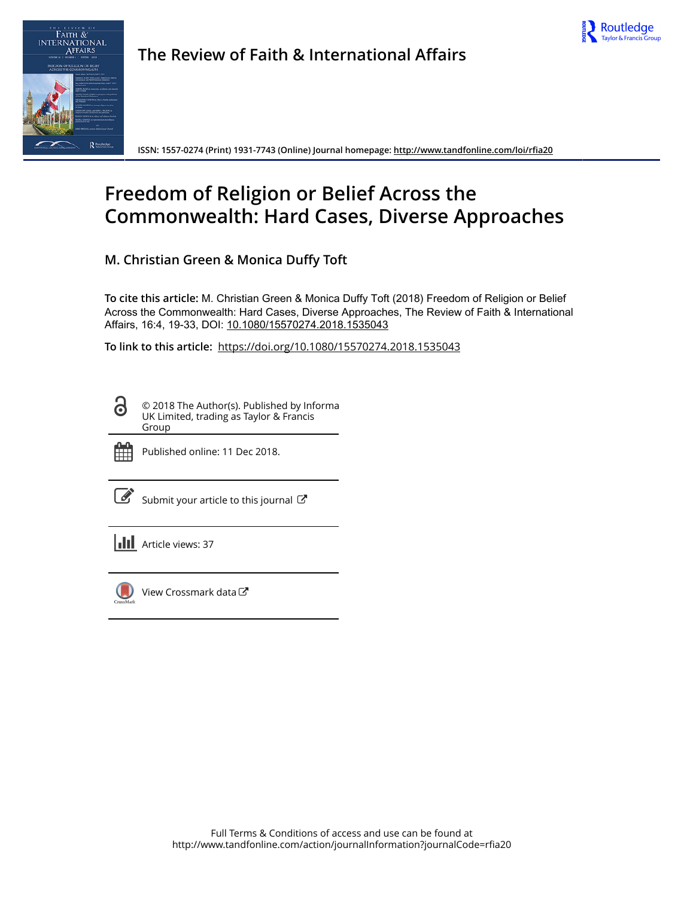



**The Review of Faith & International Affairs**

**ISSN: 1557-0274 (Print) 1931-7743 (Online) Journal homepage:<http://www.tandfonline.com/loi/rfia20>**

# **Freedom of Religion or Belief Across the Commonwealth: Hard Cases, Diverse Approaches**

**M. Christian Green & Monica Duffy Toft**

**To cite this article:** M. Christian Green & Monica Duffy Toft (2018) Freedom of Religion or Belief Across the Commonwealth: Hard Cases, Diverse Approaches, The Review of Faith & International Affairs, 16:4, 19-33, DOI: [10.1080/15570274.2018.1535043](http://www.tandfonline.com/action/showCitFormats?doi=10.1080/15570274.2018.1535043)

**To link to this article:** <https://doi.org/10.1080/15570274.2018.1535043>

© 2018 The Author(s). Published by Informa UK Limited, trading as Taylor & Francis Group



<u>යි</u>

Published online: 11 Dec 2018.

[Submit your article to this journal](http://www.tandfonline.com/action/authorSubmission?journalCode=rfia20&show=instructions)  $\mathbb{Z}$ 

**III** Article views: 37



 $\bigcirc$  [View Crossmark data](http://crossmark.crossref.org/dialog/?doi=10.1080/15570274.2018.1535043&domain=pdf&date_stamp=2018-12-11) $\mathbb{Z}$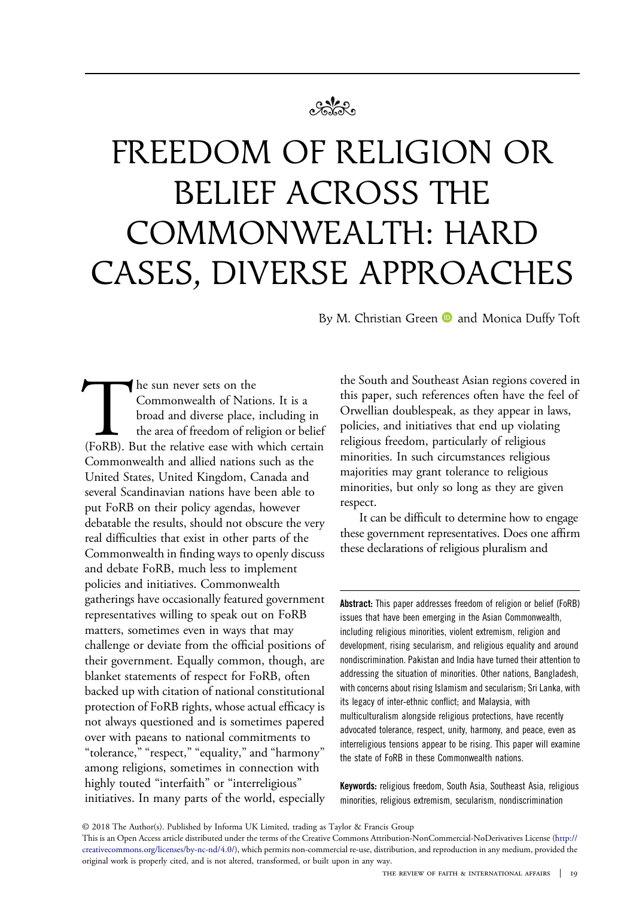$\sim$ 

# FREEDOM OF RELIGION OR BELIEF ACROSS THE COMMONWEALTH: HARD CASES, DIVERSE APPROACHES

By M. Christian Green  $\bullet$  and Monica Duffy Toft

The sun never sets on the<br>
Commonwealth of Nations. It is a<br>
broad and diverse place, including in<br>
the area of freedom of religion or belief<br>
(FoRB). But the relative ease with which certain Commonwealth of Nations. It is a broad and diverse place, including in the area of freedom of religion or belief Commonwealth and allied nations such as the United States, United Kingdom, Canada and several Scandinavian nations have been able to put FoRB on their policy agendas, however debatable the results, should not obscure the very real difficulties that exist in other parts of the Commonwealth in finding ways to openly discuss and debate FoRB, much less to implement policies and initiatives. Commonwealth gatherings have occasionally featured government representatives willing to speak out on FoRB matters, sometimes even in ways that may challenge or deviate from the official positions of their government. Equally common, though, are blanket statements of respect for FoRB, often backed up with citation of national constitutional protection of FoRB rights, whose actual efficacy is not always questioned and is sometimes papered over with paeans to national commitments to "tolerance," "respect," "equality," and "harmony" among religions, sometimes in connection with highly touted "interfaith" or "interreligious" initiatives. In many parts of the world, especially the South and Southeast Asian regions covered in this paper, such references often have the feel of Orwellian doublespeak, as they appear in laws, policies, and initiatives that end up violating religious freedom, particularly of religious minorities. In such circumstances religious majorities may grant tolerance to religious minorities, but only so long as they are given respect.

It can be difficult to determine how to engage these government representatives. Does one affirm these declarations of religious pluralism and

Abstract: This paper addresses freedom of religion or belief (FoRB) issues that have been emerging in the Asian Commonwealth, including religious minorities, violent extremism, religion and development, rising secularism, and religious equality and around nondiscrimination. Pakistan and India have turned their attention to addressing the situation of minorities. Other nations, Bangladesh, with concerns about rising Islamism and secularism; Sri Lanka, with its legacy of inter-ethnic conflict; and Malaysia, with multiculturalism alongside religious protections, have recently advocated tolerance, respect, unity, harmony, and peace, even as interreligious tensions appear to be rising. This paper will examine the state of FoRB in these Commonwealth nations.

Keywords: religious freedom, South Asia, Southeast Asia, religious minorities, religious extremism, secularism, nondiscrimination

© 2018 The Author(s). Published by Informa UK Limited, trading as Taylor & Francis Group

This is an Open Access article distributed under the terms of the Creative Commons Attribution-NonCommercial-NoDerivatives License ([http://](http://creativecommons.org/licenses/by-nc-nd/4.0/) [creativecommons.org/licenses/by-nc-nd/4.0/\)](http://creativecommons.org/licenses/by-nc-nd/4.0/), which permits non-commercial re-use, distribution, and reproduction in any medium, provided the original work is properly cited, and is not altered, transformed, or built upon in any way.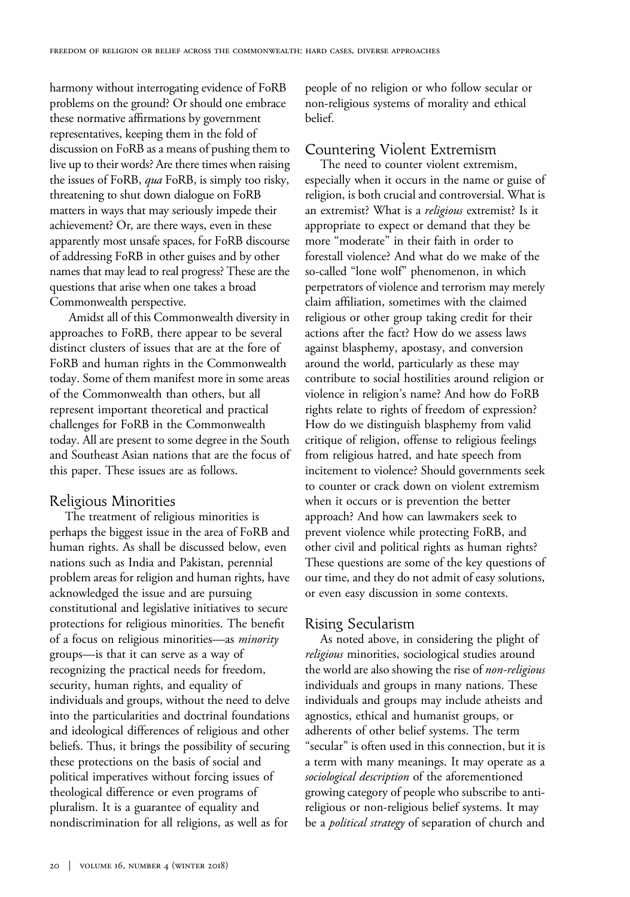harmony without interrogating evidence of FoRB problems on the ground? Or should one embrace these normative affirmations by government representatives, keeping them in the fold of discussion on FoRB as a means of pushing them to live up to their words? Are there times when raising the issues of FoRB, qua FoRB, is simply too risky, threatening to shut down dialogue on FoRB matters in ways that may seriously impede their achievement? Or, are there ways, even in these apparently most unsafe spaces, for FoRB discourse of addressing FoRB in other guises and by other names that may lead to real progress? These are the questions that arise when one takes a broad Commonwealth perspective.

Amidst all of this Commonwealth diversity in approaches to FoRB, there appear to be several distinct clusters of issues that are at the fore of FoRB and human rights in the Commonwealth today. Some of them manifest more in some areas of the Commonwealth than others, but all represent important theoretical and practical challenges for FoRB in the Commonwealth today. All are present to some degree in the South and Southeast Asian nations that are the focus of this paper. These issues are as follows.

#### Religious Minorities

The treatment of religious minorities is perhaps the biggest issue in the area of FoRB and human rights. As shall be discussed below, even nations such as India and Pakistan, perennial problem areas for religion and human rights, have acknowledged the issue and are pursuing constitutional and legislative initiatives to secure protections for religious minorities. The benefit of a focus on religious minorities—as minority groups—is that it can serve as a way of recognizing the practical needs for freedom, security, human rights, and equality of individuals and groups, without the need to delve into the particularities and doctrinal foundations and ideological differences of religious and other beliefs. Thus, it brings the possibility of securing these protections on the basis of social and political imperatives without forcing issues of theological difference or even programs of pluralism. It is a guarantee of equality and nondiscrimination for all religions, as well as for

people of no religion or who follow secular or non-religious systems of morality and ethical belief.

#### Countering Violent Extremism

The need to counter violent extremism, especially when it occurs in the name or guise of religion, is both crucial and controversial. What is an extremist? What is a *religious* extremist? Is it appropriate to expect or demand that they be more "moderate" in their faith in order to forestall violence? And what do we make of the so-called "lone wolf" phenomenon, in which perpetrators of violence and terrorism may merely claim affiliation, sometimes with the claimed religious or other group taking credit for their actions after the fact? How do we assess laws against blasphemy, apostasy, and conversion around the world, particularly as these may contribute to social hostilities around religion or violence in religion's name? And how do FoRB rights relate to rights of freedom of expression? How do we distinguish blasphemy from valid critique of religion, offense to religious feelings from religious hatred, and hate speech from incitement to violence? Should governments seek to counter or crack down on violent extremism when it occurs or is prevention the better approach? And how can lawmakers seek to prevent violence while protecting FoRB, and other civil and political rights as human rights? These questions are some of the key questions of our time, and they do not admit of easy solutions, or even easy discussion in some contexts.

#### Rising Secularism

As noted above, in considering the plight of religious minorities, sociological studies around the world are also showing the rise of non-religious individuals and groups in many nations. These individuals and groups may include atheists and agnostics, ethical and humanist groups, or adherents of other belief systems. The term "secular" is often used in this connection, but it is a term with many meanings. It may operate as a sociological description of the aforementioned growing category of people who subscribe to antireligious or non-religious belief systems. It may be a *political strategy* of separation of church and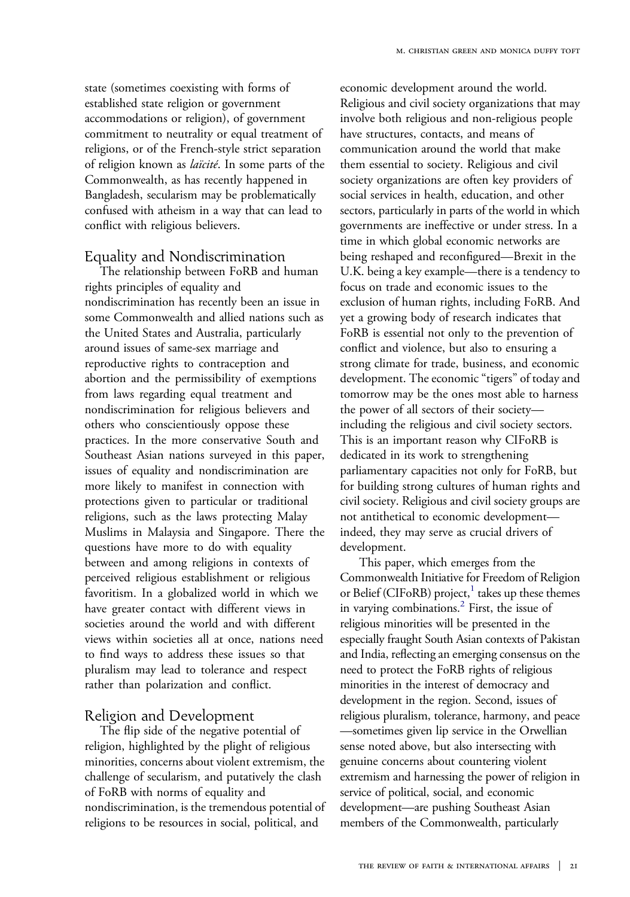state (sometimes coexisting with forms of established state religion or government accommodations or religion), of government commitment to neutrality or equal treatment of religions, or of the French-style strict separation of religion known as *laïcité*. In some parts of the Commonwealth, as has recently happened in Bangladesh, secularism may be problematically confused with atheism in a way that can lead to conflict with religious believers.

## Equality and Nondiscrimination

The relationship between FoRB and human rights principles of equality and nondiscrimination has recently been an issue in some Commonwealth and allied nations such as the United States and Australia, particularly around issues of same-sex marriage and reproductive rights to contraception and abortion and the permissibility of exemptions from laws regarding equal treatment and nondiscrimination for religious believers and others who conscientiously oppose these practices. In the more conservative South and Southeast Asian nations surveyed in this paper, issues of equality and nondiscrimination are more likely to manifest in connection with protections given to particular or traditional religions, such as the laws protecting Malay Muslims in Malaysia and Singapore. There the questions have more to do with equality between and among religions in contexts of perceived religious establishment or religious favoritism. In a globalized world in which we have greater contact with different views in societies around the world and with different views within societies all at once, nations need to find ways to address these issues so that pluralism may lead to tolerance and respect rather than polarization and conflict.

### Religion and Development

The flip side of the negative potential of religion, highlighted by the plight of religious minorities, concerns about violent extremism, the challenge of secularism, and putatively the clash of FoRB with norms of equality and nondiscrimination, is the tremendous potential of religions to be resources in social, political, and

economic development around the world. Religious and civil society organizations that may involve both religious and non-religious people have structures, contacts, and means of communication around the world that make them essential to society. Religious and civil society organizations are often key providers of social services in health, education, and other sectors, particularly in parts of the world in which governments are ineffective or under stress. In a time in which global economic networks are being reshaped and reconfigured—Brexit in the U.K. being a key example—there is a tendency to focus on trade and economic issues to the exclusion of human rights, including FoRB. And yet a growing body of research indicates that FoRB is essential not only to the prevention of conflict and violence, but also to ensuring a strong climate for trade, business, and economic development. The economic "tigers" of today and tomorrow may be the ones most able to harness the power of all sectors of their society including the religious and civil society sectors. This is an important reason why CIFoRB is dedicated in its work to strengthening parliamentary capacities not only for FoRB, but for building strong cultures of human rights and civil society. Religious and civil society groups are not antithetical to economic development indeed, they may serve as crucial drivers of development.

This paper, which emerges from the Commonwealth Initiative for Freedom of Religion or Belief (CIFoRB) project, $<sup>1</sup>$  takes up these themes</sup> in varying combinations. $^{2}$  First, the issue of religious minorities will be presented in the especially fraught South Asian contexts of Pakistan and India, reflecting an emerging consensus on the need to protect the FoRB rights of religious minorities in the interest of democracy and development in the region. Second, issues of religious pluralism, tolerance, harmony, and peace —sometimes given lip service in the Orwellian sense noted above, but also intersecting with genuine concerns about countering violent extremism and harnessing the power of religion in service of political, social, and economic development—are pushing Southeast Asian members of the Commonwealth, particularly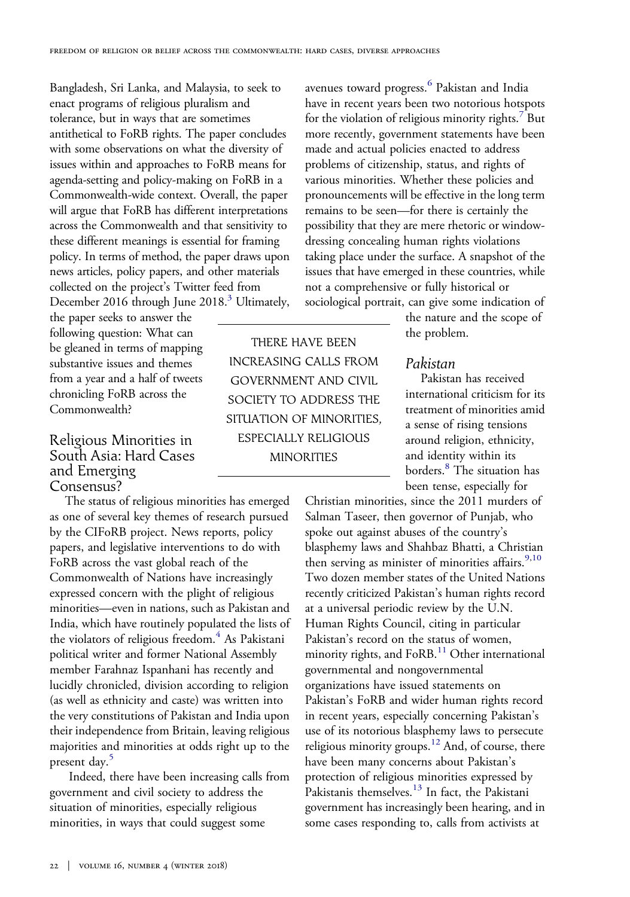Bangladesh, Sri Lanka, and Malaysia, to seek to enact programs of religious pluralism and tolerance, but in ways that are sometimes antithetical to FoRB rights. The paper concludes with some observations on what the diversity of issues within and approaches to FoRB means for agenda-setting and policy-making on FoRB in a Commonwealth-wide context. Overall, the paper will argue that FoRB has different interpretations across the Commonwealth and that sensitivity to these different meanings is essential for framing policy. In terms of method, the paper draws upon news articles, policy papers, and other materials collected on the project's Twitter feed from December 2016 through June 2018.<sup>3</sup> Ultimately,

the paper seeks to answer the following question: What can be gleaned in terms of mapping substantive issues and themes from a year and a half of tweets chronicling FoRB across the Commonwealth?

# Religious Minorities in South Asia: Hard Cases and Emerging Consensus?

The status of religious minorities has emerged as one of several key themes of research pursued by the CIFoRB project. News reports, policy papers, and legislative interventions to do with FoRB across the vast global reach of the Commonwealth of Nations have increasingly expressed concern with the plight of religious minorities—even in nations, such as Pakistan and India, which have routinely populated the lists of the violators of religious freedom.<sup>[4](#page-11-0)</sup> As Pakistani political writer and former National Assembly member Farahnaz Ispanhani has recently and lucidly chronicled, division according to religion (as well as ethnicity and caste) was written into the very constitutions of Pakistan and India upon their independence from Britain, leaving religious majorities and minorities at odds right up to the present day.<sup>[5](#page-12-0)</sup>

Indeed, there have been increasing calls from government and civil society to address the situation of minorities, especially religious minorities, in ways that could suggest some

THERE HAVE BEEN INCREASING CALLS FROM GOVERNMENT AND CIVIL SOCIETY TO ADDRESS THE SITUATION OF MINORITIES, ESPECIALLY RELIGIOUS **MINORITIES** 

avenues toward progress.<sup>[6](#page-12-0)</sup> Pakistan and India have in recent years been two notorious hotspots for the violation of religious minority rights.<sup>[7](#page-12-0)</sup> But more recently, government statements have been made and actual policies enacted to address problems of citizenship, status, and rights of various minorities. Whether these policies and pronouncements will be effective in the long term remains to be seen—for there is certainly the possibility that they are mere rhetoric or windowdressing concealing human rights violations taking place under the surface. A snapshot of the issues that have emerged in these countries, while not a comprehensive or fully historical or sociological portrait, can give some indication of

the nature and the scope of the problem.

#### Pakistan

Pakistan has received international criticism for its treatment of minorities amid a sense of rising tensions around religion, ethnicity, and identity within its borders.[8](#page-12-0) The situation has been tense, especially for

Christian minorities, since the 2011 murders of Salman Taseer, then governor of Punjab, who spoke out against abuses of the country's blasphemy laws and Shahbaz Bhatti, a Christian then serving as minister of minorities affairs.  $9,10$ Two dozen member states of the United Nations recently criticized Pakistan's human rights record at a universal periodic review by the U.N. Human Rights Council, citing in particular Pakistan's record on the status of women, minority rights, and FoRB.<sup>[11](#page-12-0)</sup> Other international governmental and nongovernmental organizations have issued statements on Pakistan's FoRB and wider human rights record in recent years, especially concerning Pakistan's use of its notorious blasphemy laws to persecute religious minority groups.<sup>[12](#page-12-0)</sup> And, of course, there have been many concerns about Pakistan's protection of religious minorities expressed by Pakistanis themselves.<sup>[13](#page-12-0)</sup> In fact, the Pakistani government has increasingly been hearing, and in some cases responding to, calls from activists at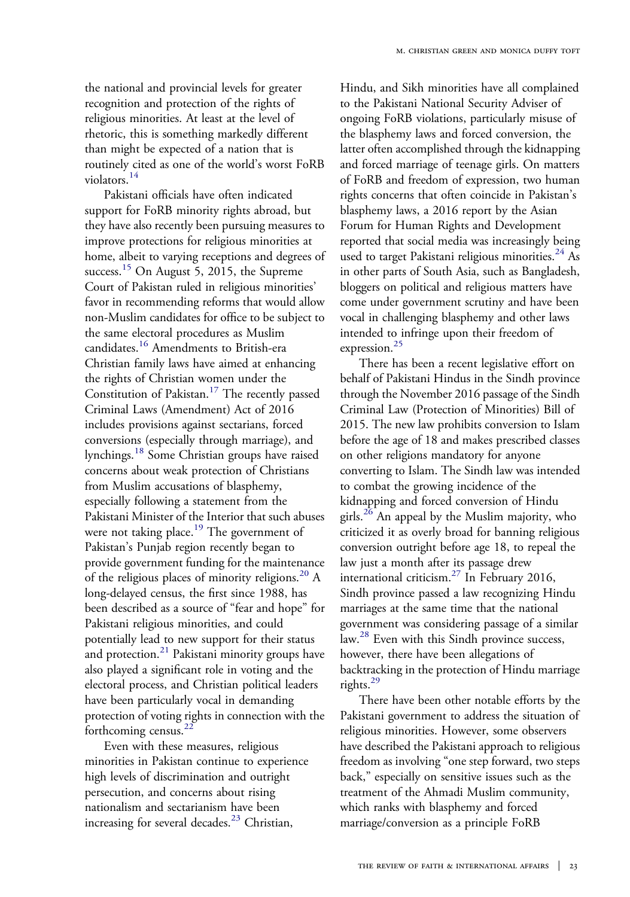the national and provincial levels for greater recognition and protection of the rights of religious minorities. At least at the level of rhetoric, this is something markedly different than might be expected of a nation that is routinely cited as one of the world's worst FoRB violators.[14](#page-12-0)

Pakistani officials have often indicated support for FoRB minority rights abroad, but they have also recently been pursuing measures to improve protections for religious minorities at home, albeit to varying receptions and degrees of success.<sup>[15](#page-12-0)</sup> On August 5, 2015, the Supreme Court of Pakistan ruled in religious minorities' favor in recommending reforms that would allow non-Muslim candidates for office to be subject to the same electoral procedures as Muslim candidates.[16](#page-12-0) Amendments to British-era Christian family laws have aimed at enhancing the rights of Christian women under the Constitution of Pakistan.[17](#page-12-0) The recently passed Criminal Laws (Amendment) Act of 2016 includes provisions against sectarians, forced conversions (especially through marriage), and lynchings.[18](#page-12-0) Some Christian groups have raised concerns about weak protection of Christians from Muslim accusations of blasphemy, especially following a statement from the Pakistani Minister of the Interior that such abuses were not taking place.<sup>[19](#page-12-0)</sup> The government of Pakistan's Punjab region recently began to provide government funding for the maintenance of the religious places of minority religions.<sup>[20](#page-12-0)</sup> A long-delayed census, the first since 1988, has been described as a source of "fear and hope" for Pakistani religious minorities, and could potentially lead to new support for their status and protection.<sup>[21](#page-12-0)</sup> Pakistani minority groups have also played a significant role in voting and the electoral process, and Christian political leaders have been particularly vocal in demanding protection of voting rights in connection with the forthcoming census. $^{22}$  $^{22}$  $^{22}$ 

Even with these measures, religious minorities in Pakistan continue to experience high levels of discrimination and outright persecution, and concerns about rising nationalism and sectarianism have been increasing for several decades.<sup>[23](#page-12-0)</sup> Christian,

Hindu, and Sikh minorities have all complained to the Pakistani National Security Adviser of ongoing FoRB violations, particularly misuse of the blasphemy laws and forced conversion, the latter often accomplished through the kidnapping and forced marriage of teenage girls. On matters of FoRB and freedom of expression, two human rights concerns that often coincide in Pakistan's blasphemy laws, a 2016 report by the Asian Forum for Human Rights and Development reported that social media was increasingly being used to target Pakistani religious minorities.<sup>[24](#page-12-0)</sup> As in other parts of South Asia, such as Bangladesh, bloggers on political and religious matters have come under government scrutiny and have been vocal in challenging blasphemy and other laws intended to infringe upon their freedom of expression.[25](#page-12-0)

There has been a recent legislative effort on behalf of Pakistani Hindus in the Sindh province through the November 2016 passage of the Sindh Criminal Law (Protection of Minorities) Bill of 2015. The new law prohibits conversion to Islam before the age of 18 and makes prescribed classes on other religions mandatory for anyone converting to Islam. The Sindh law was intended to combat the growing incidence of the kidnapping and forced conversion of Hindu girls.[26](#page-12-0) An appeal by the Muslim majority, who criticized it as overly broad for banning religious conversion outright before age 18, to repeal the law just a month after its passage drew international criticism.[27](#page-12-0) In February 2016, Sindh province passed a law recognizing Hindu marriages at the same time that the national government was considering passage of a similar law.<sup>[28](#page-12-0)</sup> Even with this Sindh province success, however, there have been allegations of backtracking in the protection of Hindu marriage rights.<sup>[29](#page-12-0)</sup>

There have been other notable efforts by the Pakistani government to address the situation of religious minorities. However, some observers have described the Pakistani approach to religious freedom as involving "one step forward, two steps back," especially on sensitive issues such as the treatment of the Ahmadi Muslim community, which ranks with blasphemy and forced marriage/conversion as a principle FoRB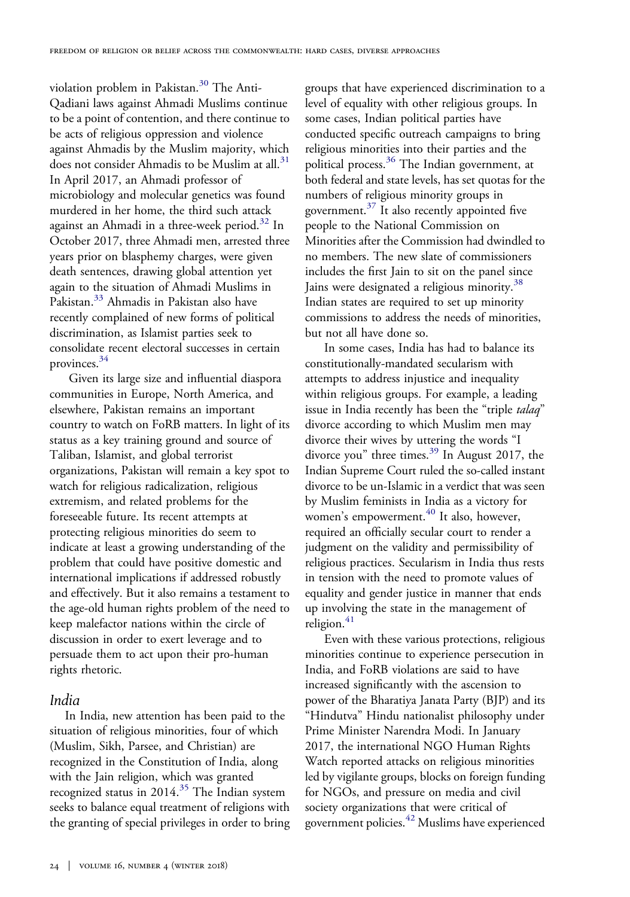violation problem in Pakistan.<sup>[30](#page-12-0)</sup> The Anti-Qadiani laws against Ahmadi Muslims continue to be a point of contention, and there continue to be acts of religious oppression and violence against Ahmadis by the Muslim majority, which does not consider Ahmadis to be Muslim at all.<sup>[31](#page-12-0)</sup> In April 2017, an Ahmadi professor of microbiology and molecular genetics was found murdered in her home, the third such attack against an Ahmadi in a three-week period.<sup>32</sup> In October 2017, three Ahmadi men, arrested three years prior on blasphemy charges, were given death sentences, drawing global attention yet again to the situation of Ahmadi Muslims in Pakistan.[33](#page-12-0) Ahmadis in Pakistan also have recently complained of new forms of political discrimination, as Islamist parties seek to consolidate recent electoral successes in certain provinces.[34](#page-12-0)

Given its large size and influential diaspora communities in Europe, North America, and elsewhere, Pakistan remains an important country to watch on FoRB matters. In light of its status as a key training ground and source of Taliban, Islamist, and global terrorist organizations, Pakistan will remain a key spot to watch for religious radicalization, religious extremism, and related problems for the foreseeable future. Its recent attempts at protecting religious minorities do seem to indicate at least a growing understanding of the problem that could have positive domestic and international implications if addressed robustly and effectively. But it also remains a testament to the age-old human rights problem of the need to keep malefactor nations within the circle of discussion in order to exert leverage and to persuade them to act upon their pro-human rights rhetoric.

# India

In India, new attention has been paid to the situation of religious minorities, four of which (Muslim, Sikh, Parsee, and Christian) are recognized in the Constitution of India, along with the Jain religion, which was granted recognized status in 2014.[35](#page-12-0) The Indian system seeks to balance equal treatment of religions with the granting of special privileges in order to bring

groups that have experienced discrimination to a level of equality with other religious groups. In some cases, Indian political parties have conducted specific outreach campaigns to bring religious minorities into their parties and the political process.<sup>[36](#page-13-0)</sup> The Indian government, at both federal and state levels, has set quotas for the numbers of religious minority groups in government.<sup>[37](#page-13-0)</sup> It also recently appointed five people to the National Commission on Minorities after the Commission had dwindled to no members. The new slate of commissioners includes the first Jain to sit on the panel since Jains were designated a religious minority.<sup>[38](#page-13-0)</sup> Indian states are required to set up minority commissions to address the needs of minorities, but not all have done so.

In some cases, India has had to balance its constitutionally-mandated secularism with attempts to address injustice and inequality within religious groups. For example, a leading issue in India recently has been the "triple talaq" divorce according to which Muslim men may divorce their wives by uttering the words "I divorce you" three times.<sup>[39](#page-13-0)</sup> In August 2017, the Indian Supreme Court ruled the so-called instant divorce to be un-Islamic in a verdict that was seen by Muslim feminists in India as a victory for women's empowerment. $^{40}$  $^{40}$  $^{40}$  It also, however, required an officially secular court to render a judgment on the validity and permissibility of religious practices. Secularism in India thus rests in tension with the need to promote values of equality and gender justice in manner that ends up involving the state in the management of religion. $41$ 

Even with these various protections, religious minorities continue to experience persecution in India, and FoRB violations are said to have increased significantly with the ascension to power of the Bharatiya Janata Party (BJP) and its "Hindutva" Hindu nationalist philosophy under Prime Minister Narendra Modi. In January 2017, the international NGO Human Rights Watch reported attacks on religious minorities led by vigilante groups, blocks on foreign funding for NGOs, and pressure on media and civil society organizations that were critical of government policies.<sup>[42](#page-13-0)</sup> Muslims have experienced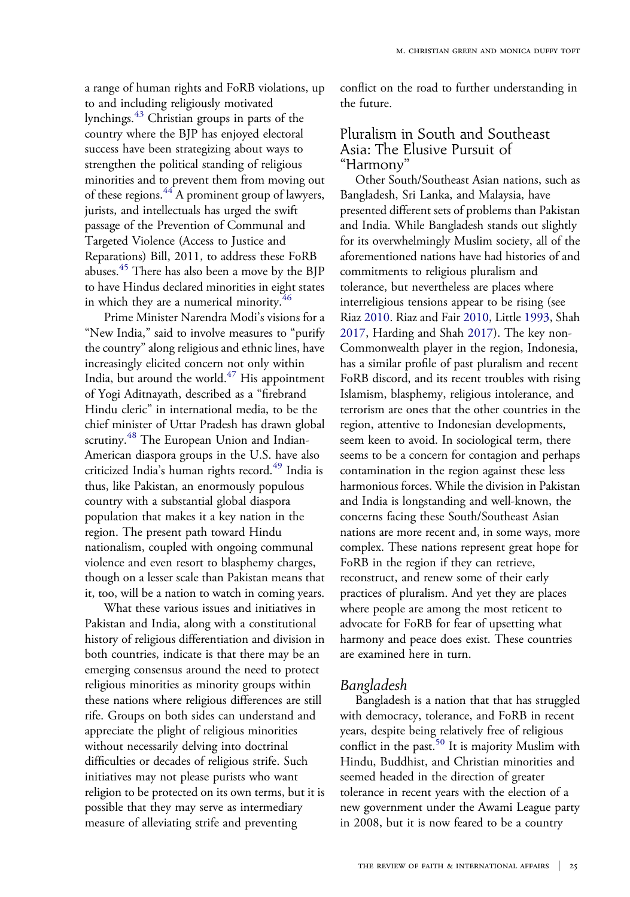<span id="page-7-0"></span>a range of human rights and FoRB violations, up to and including religiously motivated lynchings.[43](#page-13-0) Christian groups in parts of the country where the BJP has enjoyed electoral success have been strategizing about ways to strengthen the political standing of religious minorities and to prevent them from moving out of these regions.<sup>[44](#page-13-0)</sup> A prominent group of lawyers, jurists, and intellectuals has urged the swift passage of the Prevention of Communal and Targeted Violence (Access to Justice and Reparations) Bill, 2011, to address these FoRB abuses.[45](#page-13-0) There has also been a move by the BJP to have Hindus declared minorities in eight states in which they are a numerical minority.<sup>[46](#page-13-0)</sup>

Prime Minister Narendra Modi's visions for a "New India," said to involve measures to "purify the country" along religious and ethnic lines, have increasingly elicited concern not only within India, but around the world.<sup>[47](#page-13-0)</sup> His appointment of Yogi Aditnayath, described as a "firebrand Hindu cleric" in international media, to be the chief minister of Uttar Pradesh has drawn global scrutiny.<sup>[48](#page-13-0)</sup> The European Union and Indian-American diaspora groups in the U.S. have also criticized India's human rights record.<sup>[49](#page-13-0)</sup> India is thus, like Pakistan, an enormously populous country with a substantial global diaspora population that makes it a key nation in the region. The present path toward Hindu nationalism, coupled with ongoing communal violence and even resort to blasphemy charges, though on a lesser scale than Pakistan means that it, too, will be a nation to watch in coming years.

What these various issues and initiatives in Pakistan and India, along with a constitutional history of religious differentiation and division in both countries, indicate is that there may be an emerging consensus around the need to protect religious minorities as minority groups within these nations where religious differences are still rife. Groups on both sides can understand and appreciate the plight of religious minorities without necessarily delving into doctrinal difficulties or decades of religious strife. Such initiatives may not please purists who want religion to be protected on its own terms, but it is possible that they may serve as intermediary measure of alleviating strife and preventing

conflict on the road to further understanding in the future.

# Pluralism in South and Southeast Asia: The Elusive Pursuit of "Harmony"

Other South/Southeast Asian nations, such as Bangladesh, Sri Lanka, and Malaysia, have presented different sets of problems than Pakistan and India. While Bangladesh stands out slightly for its overwhelmingly Muslim society, all of the aforementioned nations have had histories of and commitments to religious pluralism and tolerance, but nevertheless are places where interreligious tensions appear to be rising (see Riaz [2010](#page-15-0). Riaz and Fair [2010,](#page-15-0) Little [1993,](#page-15-0) Shah [2017](#page-15-0), Harding and Shah [2017](#page-15-0)). The key non-Commonwealth player in the region, Indonesia, has a similar profile of past pluralism and recent FoRB discord, and its recent troubles with rising Islamism, blasphemy, religious intolerance, and terrorism are ones that the other countries in the region, attentive to Indonesian developments, seem keen to avoid. In sociological term, there seems to be a concern for contagion and perhaps contamination in the region against these less harmonious forces. While the division in Pakistan and India is longstanding and well-known, the concerns facing these South/Southeast Asian nations are more recent and, in some ways, more complex. These nations represent great hope for FoRB in the region if they can retrieve, reconstruct, and renew some of their early practices of pluralism. And yet they are places where people are among the most reticent to advocate for FoRB for fear of upsetting what harmony and peace does exist. These countries are examined here in turn.

### Bangladesh

Bangladesh is a nation that that has struggled with democracy, tolerance, and FoRB in recent years, despite being relatively free of religious conflict in the past.<sup>50</sup> It is majority Muslim with Hindu, Buddhist, and Christian minorities and seemed headed in the direction of greater tolerance in recent years with the election of a new government under the Awami League party in 2008, but it is now feared to be a country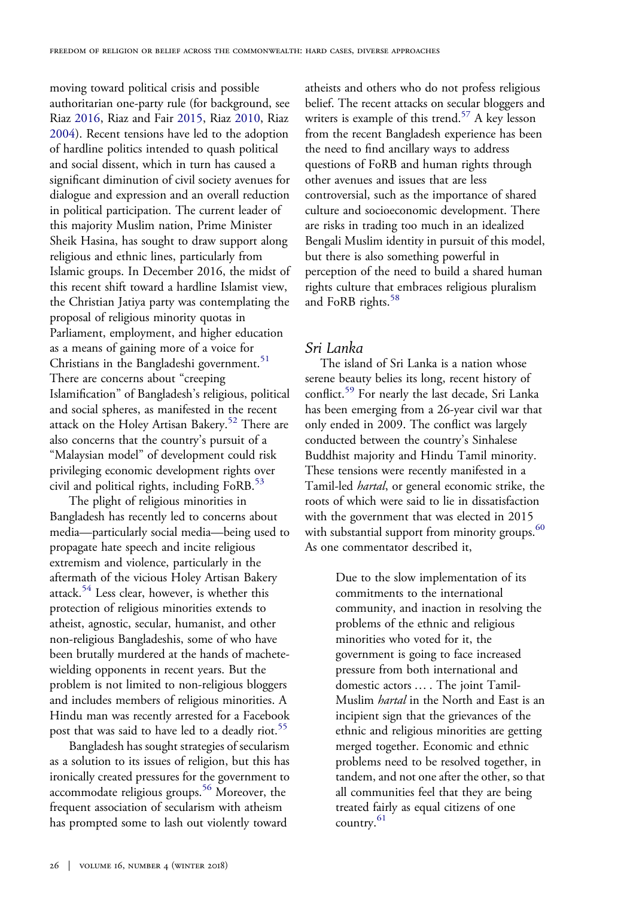<span id="page-8-0"></span>moving toward political crisis and possible authoritarian one-party rule (for background, see Riaz [2016,](#page-15-0) Riaz and Fair [2015,](#page-15-0) Riaz [2010,](#page-15-0) Riaz [2004\)](#page-15-0). Recent tensions have led to the adoption of hardline politics intended to quash political and social dissent, which in turn has caused a significant diminution of civil society avenues for dialogue and expression and an overall reduction in political participation. The current leader of this majority Muslim nation, Prime Minister Sheik Hasina, has sought to draw support along religious and ethnic lines, particularly from Islamic groups. In December 2016, the midst of this recent shift toward a hardline Islamist view, the Christian Jatiya party was contemplating the proposal of religious minority quotas in Parliament, employment, and higher education as a means of gaining more of a voice for Christians in the Bangladeshi government.<sup>[51](#page-13-0)</sup> There are concerns about "creeping Islamification" of Bangladesh's religious, political and social spheres, as manifested in the recent attack on the Holey Artisan Bakery.<sup>[52](#page-13-0)</sup> There are also concerns that the country's pursuit of a "Malaysian model" of development could risk privileging economic development rights over civil and political rights, including  $FoRB$ .<sup>[53](#page-13-0)</sup>

The plight of religious minorities in Bangladesh has recently led to concerns about media—particularly social media—being used to propagate hate speech and incite religious extremism and violence, particularly in the aftermath of the vicious Holey Artisan Bakery attack.[54](#page-13-0) Less clear, however, is whether this protection of religious minorities extends to atheist, agnostic, secular, humanist, and other non-religious Bangladeshis, some of who have been brutally murdered at the hands of machetewielding opponents in recent years. But the problem is not limited to non-religious bloggers and includes members of religious minorities. A Hindu man was recently arrested for a Facebook post that was said to have led to a deadly riot.<sup>[55](#page-13-0)</sup>

Bangladesh has sought strategies of secularism as a solution to its issues of religion, but this has ironically created pressures for the government to accommodate religious groups.[56](#page-13-0) Moreover, the frequent association of secularism with atheism has prompted some to lash out violently toward

atheists and others who do not profess religious belief. The recent attacks on secular bloggers and writers is example of this trend.<sup>57</sup> A key lesson from the recent Bangladesh experience has been the need to find ancillary ways to address questions of FoRB and human rights through other avenues and issues that are less controversial, such as the importance of shared culture and socioeconomic development. There are risks in trading too much in an idealized Bengali Muslim identity in pursuit of this model, but there is also something powerful in perception of the need to build a shared human rights culture that embraces religious pluralism and FoRB rights.<sup>[58](#page-13-0)</sup>

#### Sri Lanka

The island of Sri Lanka is a nation whose serene beauty belies its long, recent history of conflict.<sup>[59](#page-13-0)</sup> For nearly the last decade, Sri Lanka has been emerging from a 26-year civil war that only ended in 2009. The conflict was largely conducted between the country's Sinhalese Buddhist majority and Hindu Tamil minority. These tensions were recently manifested in a Tamil-led hartal, or general economic strike, the roots of which were said to lie in dissatisfaction with the government that was elected in 2015 with substantial support from minority groups.<sup>[60](#page-13-0)</sup> As one commentator described it,

> Due to the slow implementation of its commitments to the international community, and inaction in resolving the problems of the ethnic and religious minorities who voted for it, the government is going to face increased pressure from both international and domestic actors … . The joint Tamil-Muslim *hartal* in the North and East is an incipient sign that the grievances of the ethnic and religious minorities are getting merged together. Economic and ethnic problems need to be resolved together, in tandem, and not one after the other, so that all communities feel that they are being treated fairly as equal citizens of one country.<sup>[61](#page-13-0)</sup>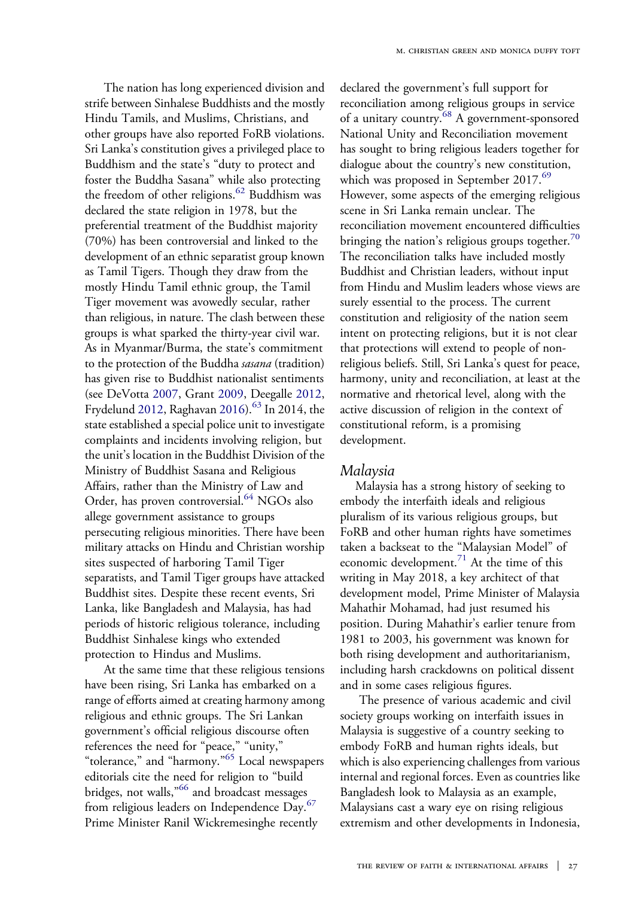<span id="page-9-0"></span>The nation has long experienced division and strife between Sinhalese Buddhists and the mostly Hindu Tamils, and Muslims, Christians, and other groups have also reported FoRB violations. Sri Lanka's constitution gives a privileged place to Buddhism and the state's "duty to protect and foster the Buddha Sasana" while also protecting the freedom of other religions.<sup>[62](#page-13-0)</sup> Buddhism was declared the state religion in 1978, but the preferential treatment of the Buddhist majority (70%) has been controversial and linked to the development of an ethnic separatist group known as Tamil Tigers. Though they draw from the mostly Hindu Tamil ethnic group, the Tamil Tiger movement was avowedly secular, rather than religious, in nature. The clash between these groups is what sparked the thirty-year civil war. As in Myanmar/Burma, the state's commitment to the protection of the Buddha sasana (tradition) has given rise to Buddhist nationalist sentiments (see DeVotta [2007,](#page-15-0) Grant [2009,](#page-15-0) Deegalle [2012,](#page-15-0) Frydelund [2012,](#page-15-0) Raghavan [2016\)](#page-15-0).[63](#page-13-0) In 2014, the state established a special police unit to investigate complaints and incidents involving religion, but the unit's location in the Buddhist Division of the Ministry of Buddhist Sasana and Religious Affairs, rather than the Ministry of Law and Order, has proven controversial.<sup>64</sup> NGOs also allege government assistance to groups persecuting religious minorities. There have been military attacks on Hindu and Christian worship sites suspected of harboring Tamil Tiger separatists, and Tamil Tiger groups have attacked Buddhist sites. Despite these recent events, Sri Lanka, like Bangladesh and Malaysia, has had periods of historic religious tolerance, including Buddhist Sinhalese kings who extended protection to Hindus and Muslims.

At the same time that these religious tensions have been rising, Sri Lanka has embarked on a range of efforts aimed at creating harmony among religious and ethnic groups. The Sri Lankan government's official religious discourse often references the need for "peace," "unity," "tolerance," and "harmony." [65](#page-13-0) Local newspapers editorials cite the need for religion to "build bridges, not walls,"<sup>[66](#page-14-0)</sup> and broadcast messages from religious leaders on Independence Day.<sup>[67](#page-14-0)</sup> Prime Minister Ranil Wickremesinghe recently

declared the government's full support for reconciliation among religious groups in service of a unitary country.[68](#page-14-0) A government-sponsored National Unity and Reconciliation movement has sought to bring religious leaders together for dialogue about the country's new constitution, which was proposed in September  $2017.^{69}$  $2017.^{69}$  $2017.^{69}$ However, some aspects of the emerging religious scene in Sri Lanka remain unclear. The reconciliation movement encountered difficulties bringing the nation's religious groups together. $70$ The reconciliation talks have included mostly Buddhist and Christian leaders, without input from Hindu and Muslim leaders whose views are surely essential to the process. The current constitution and religiosity of the nation seem intent on protecting religions, but it is not clear that protections will extend to people of nonreligious beliefs. Still, Sri Lanka's quest for peace, harmony, unity and reconciliation, at least at the normative and rhetorical level, along with the active discussion of religion in the context of constitutional reform, is a promising development.

# Malaysia

Malaysia has a strong history of seeking to embody the interfaith ideals and religious pluralism of its various religious groups, but FoRB and other human rights have sometimes taken a backseat to the "Malaysian Model" of economic development. $71$  At the time of this writing in May 2018, a key architect of that development model, Prime Minister of Malaysia Mahathir Mohamad, had just resumed his position. During Mahathir's earlier tenure from 1981 to 2003, his government was known for both rising development and authoritarianism, including harsh crackdowns on political dissent and in some cases religious figures.

The presence of various academic and civil society groups working on interfaith issues in Malaysia is suggestive of a country seeking to embody FoRB and human rights ideals, but which is also experiencing challenges from various internal and regional forces. Even as countries like Bangladesh look to Malaysia as an example, Malaysians cast a wary eye on rising religious extremism and other developments in Indonesia,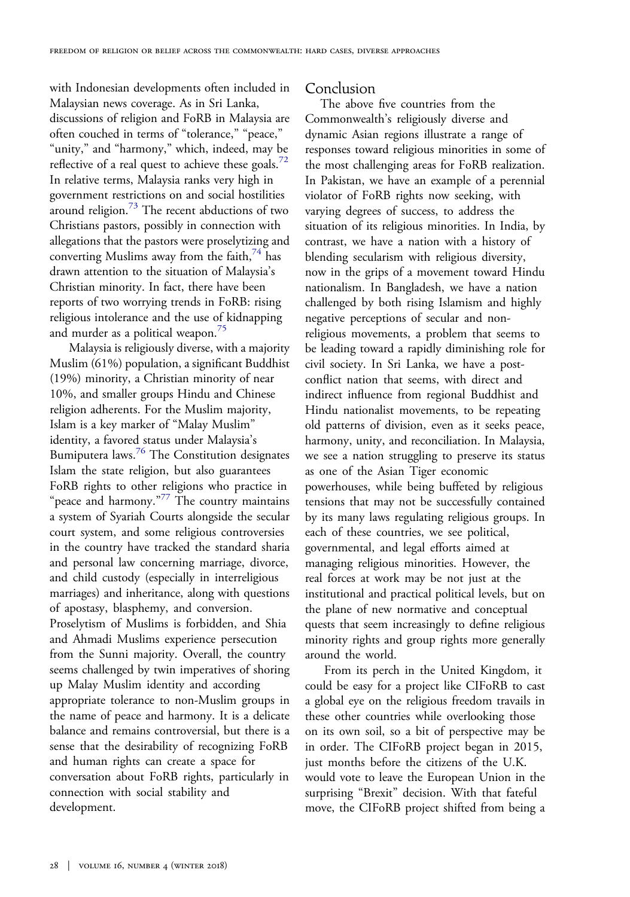with Indonesian developments often included in Malaysian news coverage. As in Sri Lanka, discussions of religion and FoRB in Malaysia are often couched in terms of "tolerance," "peace," "unity," and "harmony," which, indeed, may be reflective of a real quest to achieve these goals.<sup>[72](#page-14-0)</sup> In relative terms, Malaysia ranks very high in government restrictions on and social hostilities around religion.<sup>[73](#page-14-0)</sup> The recent abductions of two Christians pastors, possibly in connection with allegations that the pastors were proselytizing and converting Muslims away from the faith, $74$  has drawn attention to the situation of Malaysia's Christian minority. In fact, there have been reports of two worrying trends in FoRB: rising religious intolerance and the use of kidnapping and murder as a political weapon.<sup>[75](#page-14-0)</sup>

Malaysia is religiously diverse, with a majority Muslim (61%) population, a significant Buddhist (19%) minority, a Christian minority of near 10%, and smaller groups Hindu and Chinese religion adherents. For the Muslim majority, Islam is a key marker of "Malay Muslim" identity, a favored status under Malaysia's Bumiputera laws.[76](#page-14-0) The Constitution designates Islam the state religion, but also guarantees FoRB rights to other religions who practice in "peace and harmony."<sup>[77](#page-14-0)</sup> The country maintains a system of Syariah Courts alongside the secular court system, and some religious controversies in the country have tracked the standard sharia and personal law concerning marriage, divorce, and child custody (especially in interreligious marriages) and inheritance, along with questions of apostasy, blasphemy, and conversion. Proselytism of Muslims is forbidden, and Shia and Ahmadi Muslims experience persecution from the Sunni majority. Overall, the country seems challenged by twin imperatives of shoring up Malay Muslim identity and according appropriate tolerance to non-Muslim groups in the name of peace and harmony. It is a delicate balance and remains controversial, but there is a sense that the desirability of recognizing FoRB and human rights can create a space for conversation about FoRB rights, particularly in connection with social stability and development.

# Conclusion

The above five countries from the Commonwealth's religiously diverse and dynamic Asian regions illustrate a range of responses toward religious minorities in some of the most challenging areas for FoRB realization. In Pakistan, we have an example of a perennial violator of FoRB rights now seeking, with varying degrees of success, to address the situation of its religious minorities. In India, by contrast, we have a nation with a history of blending secularism with religious diversity, now in the grips of a movement toward Hindu nationalism. In Bangladesh, we have a nation challenged by both rising Islamism and highly negative perceptions of secular and nonreligious movements, a problem that seems to be leading toward a rapidly diminishing role for civil society. In Sri Lanka, we have a postconflict nation that seems, with direct and indirect influence from regional Buddhist and Hindu nationalist movements, to be repeating old patterns of division, even as it seeks peace, harmony, unity, and reconciliation. In Malaysia, we see a nation struggling to preserve its status as one of the Asian Tiger economic powerhouses, while being buffeted by religious tensions that may not be successfully contained by its many laws regulating religious groups. In each of these countries, we see political, governmental, and legal efforts aimed at managing religious minorities. However, the real forces at work may be not just at the institutional and practical political levels, but on the plane of new normative and conceptual quests that seem increasingly to define religious minority rights and group rights more generally around the world.

From its perch in the United Kingdom, it could be easy for a project like CIFoRB to cast a global eye on the religious freedom travails in these other countries while overlooking those on its own soil, so a bit of perspective may be in order. The CIFoRB project began in 2015, just months before the citizens of the U.K. would vote to leave the European Union in the surprising "Brexit" decision. With that fateful move, the CIFoRB project shifted from being a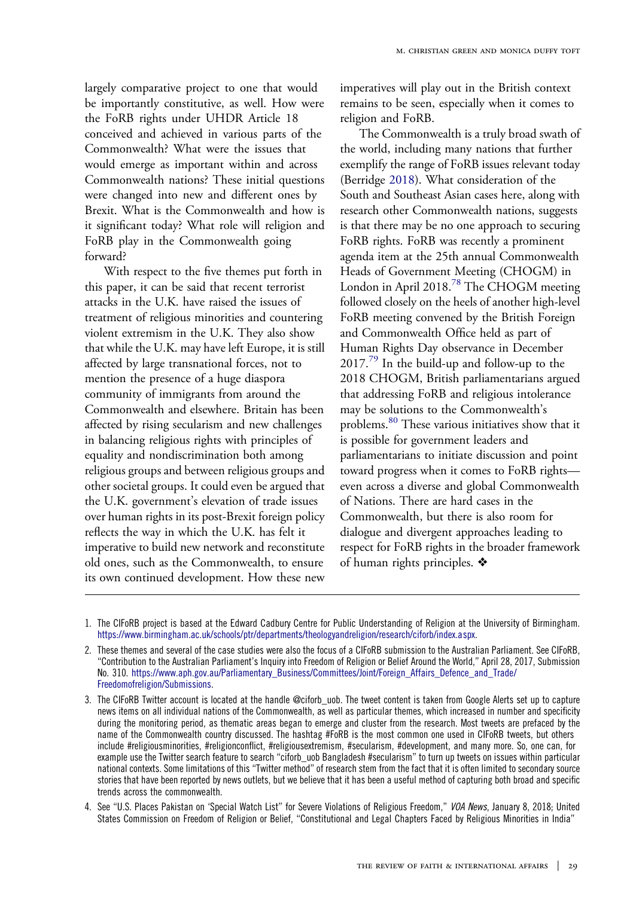<span id="page-11-0"></span>largely comparative project to one that would be importantly constitutive, as well. How were the FoRB rights under UHDR Article 18 conceived and achieved in various parts of the Commonwealth? What were the issues that would emerge as important within and across Commonwealth nations? These initial questions were changed into new and different ones by Brexit. What is the Commonwealth and how is it significant today? What role will religion and FoRB play in the Commonwealth going forward?

With respect to the five themes put forth in this paper, it can be said that recent terrorist attacks in the U.K. have raised the issues of treatment of religious minorities and countering violent extremism in the U.K. They also show that while the U.K. may have left Europe, it is still affected by large transnational forces, not to mention the presence of a huge diaspora community of immigrants from around the Commonwealth and elsewhere. Britain has been affected by rising secularism and new challenges in balancing religious rights with principles of equality and nondiscrimination both among religious groups and between religious groups and other societal groups. It could even be argued that the U.K. government's elevation of trade issues over human rights in its post-Brexit foreign policy reflects the way in which the U.K. has felt it imperative to build new network and reconstitute old ones, such as the Commonwealth, to ensure its own continued development. How these new

imperatives will play out in the British context remains to be seen, especially when it comes to religion and FoRB.

The Commonwealth is a truly broad swath of the world, including many nations that further exemplify the range of FoRB issues relevant today (Berridge [2018\)](#page-14-0). What consideration of the South and Southeast Asian cases here, along with research other Commonwealth nations, suggests is that there may be no one approach to securing FoRB rights. FoRB was recently a prominent agenda item at the 25th annual Commonwealth Heads of Government Meeting (CHOGM) in London in April 2018.[78](#page-14-0) The CHOGM meeting followed closely on the heels of another high-level FoRB meeting convened by the British Foreign and Commonwealth Office held as part of Human Rights Day observance in December  $2017<sup>79</sup>$  $2017<sup>79</sup>$  $2017<sup>79</sup>$  In the build-up and follow-up to the 2018 CHOGM, British parliamentarians argued that addressing FoRB and religious intolerance may be solutions to the Commonwealth's problems.[80](#page-14-0) These various initiatives show that it is possible for government leaders and parliamentarians to initiate discussion and point toward progress when it comes to FoRB rights even across a diverse and global Commonwealth of Nations. There are hard cases in the Commonwealth, but there is also room for dialogue and divergent approaches leading to respect for FoRB rights in the broader framework of human rights principles.  $\triangle$ 

1. The CIFoRB project is based at the Edward Cadbury Centre for Public Understanding of Religion at the University of Birmingham. <https://www.birmingham.ac.uk/schools/ptr/departments/theologyandreligion/research/ciforb/index.aspx>.

<sup>2.</sup> These themes and several of the case studies were also the focus of a CIFoRB submission to the Australian Parliament. See CIFoRB, "Contribution to the Australian Parliament's Inquiry into Freedom of Religion or Belief Around the World," April 28, 2017, Submission No. 310. [https://www.aph.gov.au/Parliamentary\\_Business/Committees/Joint/Foreign\\_Affairs\\_Defence\\_and\\_Trade/](https://www.aph.gov.au/Parliamentary_Business/Committees/Joint/Foreign_Affairs_Defence_and_Trade/Freedomofreligion/Submissions) [Freedomofreligion/Submissions.](https://www.aph.gov.au/Parliamentary_Business/Committees/Joint/Foreign_Affairs_Defence_and_Trade/Freedomofreligion/Submissions)

<sup>3.</sup> The CIFoRB Twitter account is located at the handle @ciforb\_uob. The tweet content is taken from Google Alerts set up to capture news items on all individual nations of the Commonwealth, as well as particular themes, which increased in number and specificity during the monitoring period, as thematic areas began to emerge and cluster from the research. Most tweets are prefaced by the name of the Commonwealth country discussed. The hashtag #FoRB is the most common one used in CIFoRB tweets, but others include #religiousminorities, #religionconflict, #religiousextremism, #secularism, #development, and many more. So, one can, for example use the Twitter search feature to search "ciforb\_uob Bangladesh #secularism" to turn up tweets on issues within particular national contexts. Some limitations of this "Twitter method" of research stem from the fact that it is often limited to secondary source stories that have been reported by news outlets, but we believe that it has been a useful method of capturing both broad and specific trends across the commonwealth.

<sup>4.</sup> See "U.S. Places Pakistan on 'Special Watch List" for Severe Violations of Religious Freedom," VOA News, January 8, 2018; United States Commission on Freedom of Religion or Belief, "Constitutional and Legal Chapters Faced by Religious Minorities in India"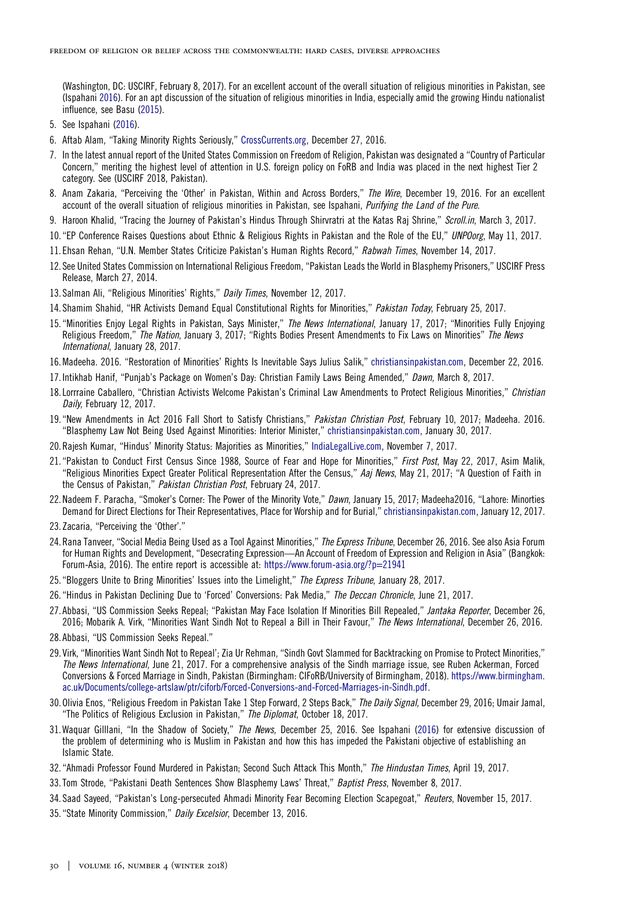<span id="page-12-0"></span>(Washington, DC: USCIRF, February 8, 2017). For an excellent account of the overall situation of religious minorities in Pakistan, see (Ispahani [2016](#page-15-0)). For an apt discussion of the situation of religious minorities in India, especially amid the growing Hindu nationalist influence, see Basu [\(2015\)](#page-14-0).

- 5. See Ispahani ([2016](#page-15-0)).
- 6. Aftab Alam, "Taking Minority Rights Seriously," [CrossCurrents.org,](https://CrossCurrents.org) December 27, 2016.
- 7. In the latest annual report of the United States Commission on Freedom of Religion, Pakistan was designated a "Country of Particular Concern," meriting the highest level of attention in U.S. foreign policy on FoRB and India was placed in the next highest Tier 2 category. See (USCIRF 2018, Pakistan).
- 8. Anam Zakaria, "Perceiving the 'Other' in Pakistan, Within and Across Borders," The Wire, December 19, 2016. For an excellent account of the overall situation of religious minorities in Pakistan, see Ispahani, Purifying the Land of the Pure.
- 9. Haroon Khalid, "Tracing the Journey of Pakistan's Hindus Through Shirvratri at the Katas Raj Shrine," Scroll.in, March 3, 2017.
- 10."EP Conference Raises Questions about Ethnic & Religious Rights in Pakistan and the Role of the EU," UNPOorg, May 11, 2017.
- 11. Ehsan Rehan, "U.N. Member States Criticize Pakistan's Human Rights Record," Rabwah Times, November 14, 2017.
- 12. See United States Commission on International Religious Freedom, "Pakistan Leads the World in Blasphemy Prisoners," USCIRF Press Release, March 27, 2014.
- 13. Salman Ali, "Religious Minorities' Rights," Daily Times, November 12, 2017.
- 14. Shamim Shahid, "HR Activists Demand Equal Constitutional Rights for Minorities," Pakistan Today, February 25, 2017.
- 15. "Minorities Enjoy Legal Rights in Pakistan, Says Minister," The News International, January 17, 2017; "Minorities Fully Enjoying Religious Freedom," The Nation, January 3, 2017; "Rights Bodies Present Amendments to Fix Laws on Minorities" The News International, January 28, 2017.
- 16. Madeeha. 2016. "Restoration of Minorities' Rights Is Inevitable Says Julius Salik," [christiansinpakistan.com](http://christiansinpakistan.com), December 22, 2016.
- 17. Intikhab Hanif, "Punjab's Package on Women's Day: Christian Family Laws Being Amended," Dawn, March 8, 2017.
- 18. Lorrraine Caballero, "Christian Activists Welcome Pakistan's Criminal Law Amendments to Protect Religious Minorities," Christian Daily, February 12, 2017.
- 19. "New Amendments in Act 2016 Fall Short to Satisfy Christians," Pakistan Christian Post, February 10, 2017; Madeeha. 2016. "Blasphemy Law Not Being Used Against Minorities: Interior Minister," [christiansinpakistan.com](http:/christiansinpakistan.com), January 30, 2017.
- 20. Rajesh Kumar, "Hindus' Minority Status: Majorities as Minorities," [IndiaLegalLive.com,](http://IndiaLegalLive.com) November 7, 2017.
- 21."Pakistan to Conduct First Census Since 1988, Source of Fear and Hope for Minorities," First Post, May 22, 2017, Asim Malik, "Religious Minorities Expect Greater Political Representation After the Census," Aaj News, May 21, 2017; "A Question of Faith in the Census of Pakistan," Pakistan Christian Post, February 24, 2017.
- 22. Nadeem F. Paracha, "Smoker's Corner: The Power of the Minority Vote," Dawn, January 15, 2017; Madeeha2016, "Lahore: Minorties Demand for Direct Elections for Their Representatives, Place for Worship and for Burial," [christiansinpakistan.com](http://christiansinpakistan.com), January 12, 2017.
- 23. Zacaria, "Perceiving the 'Other'."
- 24. Rana Tanveer, "Social Media Being Used as a Tool Against Minorities," The Express Tribune, December 26, 2016. See also Asia Forum for Human Rights and Development, "Desecrating Expression—An Account of Freedom of Expression and Religion in Asia" (Bangkok: Forum-Asia, 2016). The entire report is accessible at: <https://www.forum-asia.org/?p=21941>
- 25. "Bloggers Unite to Bring Minorities' Issues into the Limelight," The Express Tribune, January 28, 2017.
- 26."Hindus in Pakistan Declining Due to 'Forced' Conversions: Pak Media," The Deccan Chronicle, June 21, 2017.
- 27. Abbasi, "US Commission Seeks Repeal; "Pakistan May Face Isolation If Minorities Bill Repealed," Jantaka Reporter, December 26, 2016; Mobarik A. Virk, "Minorities Want Sindh Not to Repeal a Bill in Their Favour," The News International, December 26, 2016.
- 28. Abbasi, "US Commission Seeks Repeal."
- 29. Virk, "Minorities Want Sindh Not to Repeal'; Zia Ur Rehman, "Sindh Govt Slammed for Backtracking on Promise to Protect Minorities," The News International, June 21, 2017. For a comprehensive analysis of the Sindh marriage issue, see Ruben Ackerman, Forced Conversions & Forced Marriage in Sindh, Pakistan (Birmingham: CIFoRB/University of Birmingham, 2018). [https://www.birmingham.](https://www.birmingham.ac.uk/Documents/college-artslaw/ptr/ciforb/Forced-Conversions-and-Forced-Marriages-in-Sindh.pdf) [ac.uk/Documents/college-artslaw/ptr/ciforb/Forced-Conversions-and-Forced-Marriages-in-Sindh.pdf](https://www.birmingham.ac.uk/Documents/college-artslaw/ptr/ciforb/Forced-Conversions-and-Forced-Marriages-in-Sindh.pdf).
- 30. Olivia Enos, "Religious Freedom in Pakistan Take 1 Step Forward, 2 Steps Back," The Daily Signal, December 29, 2016; Umair Jamal, "The Politics of Religious Exclusion in Pakistan," The Diplomat, October 18, 2017.
- 31. Waquar Gilllani, "In the Shadow of Society," The News, December 25, 2016. See Ispahani [\(2016\)](#page-15-0) for extensive discussion of the problem of determining who is Muslim in Pakistan and how this has impeded the Pakistani objective of establishing an Islamic State.
- 32."Ahmadi Professor Found Murdered in Pakistan; Second Such Attack This Month," The Hindustan Times, April 19, 2017.
- 33. Tom Strode, "Pakistani Death Sentences Show Blasphemy Laws' Threat," Baptist Press, November 8, 2017.
- 34. Saad Sayeed, "Pakistan's Long-persecuted Ahmadi Minority Fear Becoming Election Scapegoat," Reuters, November 15, 2017.
- 35."State Minority Commission," Daily Excelsior, December 13, 2016.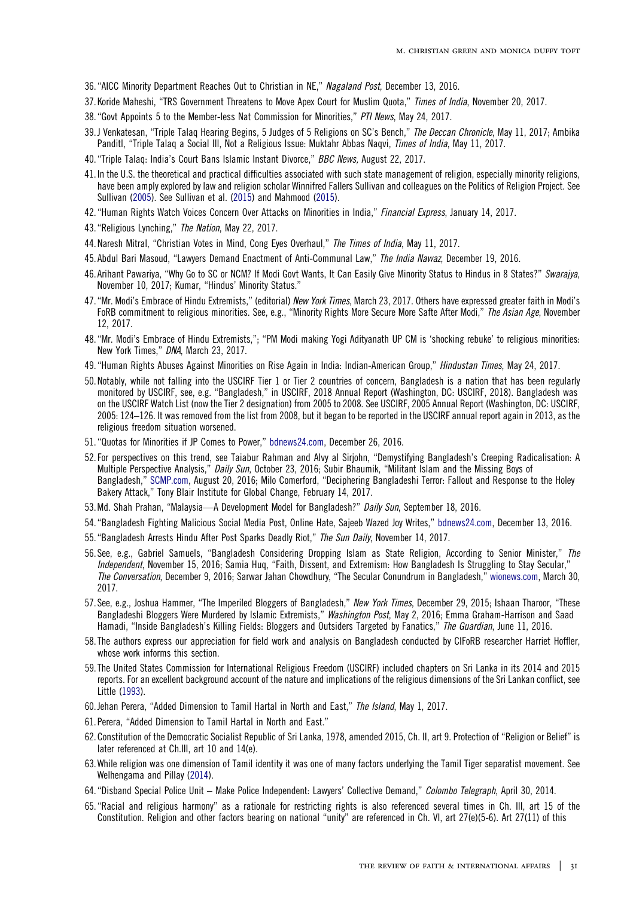- <span id="page-13-0"></span>36. "AICC Minority Department Reaches Out to Christian in NE," Nagaland Post, December 13, 2016.
- 37. Koride Maheshi, "TRS Government Threatens to Move Apex Court for Muslim Quota." Times of India, November 20, 2017.
- 38. "Govt Appoints 5 to the Member-less Nat Commission for Minorities," PTI News, May 24, 2017.
- 39.J Venkatesan, "Triple Talaq Hearing Begins, 5 Judges of 5 Religions on SC's Bench," The Deccan Chronicle, May 11, 2017; Ambika Panditl, "Triple Talaq a Social III, Not a Religious Issue: Muktahr Abbas Naqvi, Times of India, May 11, 2017.
- 40. "Triple Talaq: India's Court Bans Islamic Instant Divorce," BBC News, August 22, 2017.
- 41. In the U.S. the theoretical and practical difficulties associated with such state management of religion, especially minority religions, have been amply explored by law and religion scholar Winnifred Fallers Sullivan and colleagues on the Politics of Religion Project. See Sullivan [\(2005](#page-15-0)). See Sullivan et al. ([2015](#page-15-0)) and Mahmood ([2015](#page-15-0)).
- 42. "Human Rights Watch Voices Concern Over Attacks on Minorities in India," Financial Express, January 14, 2017.
- 43."Religious Lynching," The Nation, May 22, 2017.
- 44. Naresh Mitral, "Christian Votes in Mind, Cong Eyes Overhaul," The Times of India, May 11, 2017.
- 45. Abdul Bari Masoud, "Lawyers Demand Enactment of Anti-Communal Law," The India Nawaz, December 19, 2016.
- 46. Arihant Pawariya, "Why Go to SC or NCM? If Modi Govt Wants, It Can Easily Give Minority Status to Hindus in 8 States?" Swarajya, November 10, 2017; Kumar, "Hindus' Minority Status."
- 47. "Mr. Modi's Embrace of Hindu Extremists," (editorial) New York Times, March 23, 2017. Others have expressed greater faith in Modi's FoRB commitment to religious minorities. See, e.g., "Minority Rights More Secure More Safte After Modi," The Asian Age, November 12, 2017.
- 48."Mr. Modi's Embrace of Hindu Extremists,"; "PM Modi making Yogi Adityanath UP CM is 'shocking rebuke' to religious minorities: New York Times," DNA, March 23, 2017.
- 49."Human Rights Abuses Against Minorities on Rise Again in India: Indian-American Group," Hindustan Times, May 24, 2017.
- 50. Notably, while not falling into the USCIRF Tier 1 or Tier 2 countries of concern, Bangladesh is a nation that has been regularly monitored by USCIRF, see, e.g. "Bangladesh," in USCIRF, 2018 Annual Report (Washington, DC: USCIRF, 2018). Bangladesh was on the USCIRF Watch List (now the Tier 2 designation) from 2005 to 2008. See USCIRF, 2005 Annual Report (Washington, DC: USCIRF, 2005: 124–126. It was removed from the list from 2008, but it began to be reported in the USCIRF annual report again in 2013, as the religious freedom situation worsened.
- 51."Quotas for Minorities if JP Comes to Power," [bdnews24.com,](http://bdnews24.com) December 26, 2016.
- 52. For perspectives on this trend, see Taiabur Rahman and Alvy al Sirjohn, "Demystifying Bangladesh's Creeping Radicalisation: A Multiple Perspective Analysis," Daily Sun, October 23, 2016; Subir Bhaumik, "Militant Islam and the Missing Boys of Bangladesh," [SCMP.com,](http://SCMP.com) August 20, 2016; Milo Comerford, "Deciphering Bangladeshi Terror: Fallout and Response to the Holey Bakery Attack," Tony Blair Institute for Global Change, February 14, 2017.
- 53. Md. Shah Prahan, "Malaysia—A Development Model for Bangladesh?" Daily Sun, September 18, 2016.
- 54."Bangladesh Fighting Malicious Social Media Post, Online Hate, Sajeeb Wazed Joy Writes," [bdnews24.com,](http://bdnews24.com) December 13, 2016.
- 55. "Bangladesh Arrests Hindu After Post Sparks Deadly Riot," The Sun Daily, November 14, 2017.
- 56. See, e.g., Gabriel Samuels, "Bangladesh Considering Dropping Islam as State Religion, According to Senior Minister," The Independent, November 15, 2016; Samia Huq, "Faith, Dissent, and Extremism: How Bangladesh Is Struggling to Stay Secular," The Conversation, December 9, 2016; Sarwar Jahan Chowdhury, "The Secular Conundrum in Bangladesh," [wionews.com,](http://wionews.com) March 30, 2017.
- 57. See, e.g., Joshua Hammer, "The Imperiled Bloggers of Bangladesh," New York Times, December 29, 2015; Ishaan Tharoor, "These Bangladeshi Bloggers Were Murdered by Islamic Extremists," Washington Post, May 2, 2016; Emma Graham-Harrison and Saad Hamadi, "Inside Bangladesh's Killing Fields: Bloggers and Outsiders Targeted by Fanatics," The Guardian, June 11, 2016.
- 58. The authors express our appreciation for field work and analysis on Bangladesh conducted by CIFoRB researcher Harriet Hoffler, whose work informs this section.
- 59. The United States Commission for International Religious Freedom (USCIRF) included chapters on Sri Lanka in its 2014 and 2015 reports. For an excellent background account of the nature and implications of the religious dimensions of the Sri Lankan conflict, see Little [\(1993\)](#page-15-0).
- 60.Jehan Perera, "Added Dimension to Tamil Hartal in North and East," The Island, May 1, 2017.
- 61. Perera, "Added Dimension to Tamil Hartal in North and East."
- 62. Constitution of the Democratic Socialist Republic of Sri Lanka, 1978, amended 2015, Ch. II, art 9. Protection of "Religion or Belief" is later referenced at Ch.III, art 10 and 14(e).
- 63.While religion was one dimension of Tamil identity it was one of many factors underlying the Tamil Tiger separatist movement. See Welhengama and Pillay ([2014](#page-15-0)).
- 64."Disband Special Police Unit Make Police Independent: Lawyers' Collective Demand," Colombo Telegraph, April 30, 2014.
- 65."Racial and religious harmony" as a rationale for restricting rights is also referenced several times in Ch. III, art 15 of the Constitution. Religion and other factors bearing on national "unity" are referenced in Ch. VI, art 27(e)(5-6). Art 27(11) of this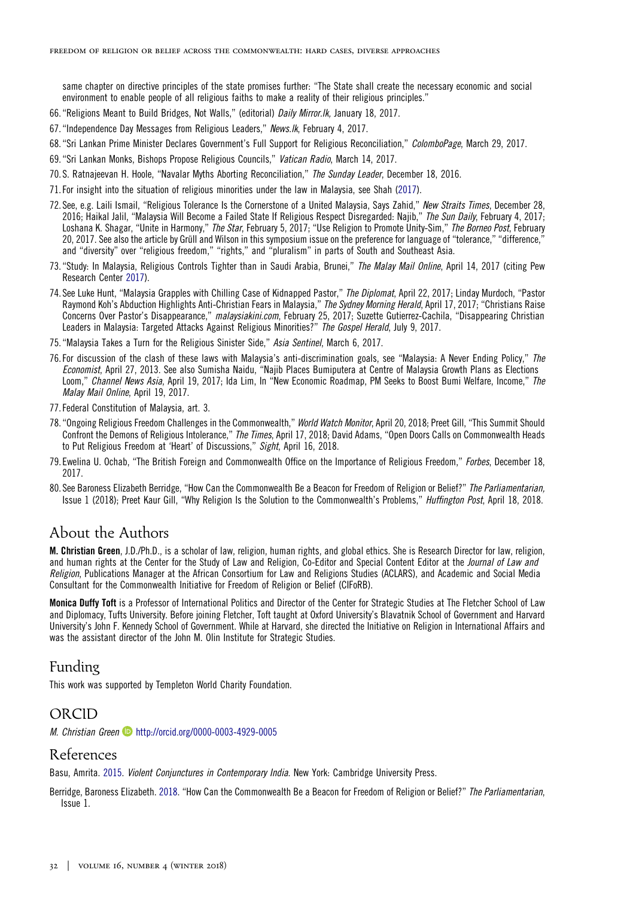<span id="page-14-0"></span>same chapter on directive principles of the state promises further: "The State shall create the necessary economic and social environment to enable people of all religious faiths to make a reality of their religious principles."

- 66."Religions Meant to Build Bridges, Not Walls," (editorial) Daily Mirror.lk, January 18, 2017.
- 67."Independence Day Messages from Religious Leaders," News.lk, February 4, 2017.
- 68."Sri Lankan Prime Minister Declares Government's Full Support for Religious Reconciliation," ColomboPage, March 29, 2017.
- 69."Sri Lankan Monks, Bishops Propose Religious Councils," Vatican Radio, March 14, 2017.
- 70. S. Ratnajeevan H. Hoole, "Navalar Myths Aborting Reconciliation," The Sunday Leader, December 18, 2016.
- 71. For insight into the situation of religious minorities under the law in Malaysia, see Shah ([2017](#page-15-0)).
- 72. See, e.g. Laili Ismail, "Religious Tolerance Is the Cornerstone of a United Malaysia, Says Zahid," New Straits Times, December 28, 2016; Haikal Jalil, "Malaysia Will Become a Failed State If Religious Respect Disregarded: Najib," The Sun Daily, February 4, 2017; Loshana K. Shagar, "Unite in Harmony," The Star, February 5, 2017; "Use Religion to Promote Unity-Sim," The Borneo Post, February 20, 2017. See also the article by Grüll and Wilson in this symposium issue on the preference for language of "tolerance," "difference," and "diversity" over "religious freedom," "rights," and "pluralism" in parts of South and Southeast Asia.
- 73. "Study: In Malaysia, Religious Controls Tighter than in Saudi Arabia, Brunei," The Malay Mail Online, April 14, 2017 (citing Pew Research Center [2017](#page-15-0)).
- 74. See Luke Hunt, "Malaysia Grapples with Chilling Case of Kidnapped Pastor," The Diplomat, April 22, 2017; Linday Murdoch, "Pastor Raymond Koh's Abduction Highlights Anti-Christian Fears in Malaysia," The Sydney Morning Herald, April 17, 2017; "Christians Raise Concerns Over Pastor's Disappearance," malaysiakini.com, February 25, 2017; Suzette Gutierrez-Cachila, "Disappearing Christian Leaders in Malaysia: Targeted Attacks Against Religious Minorities?" The Gospel Herald, July 9, 2017.
- 75."Malaysia Takes a Turn for the Religious Sinister Side," Asia Sentinel, March 6, 2017.
- 76. For discussion of the clash of these laws with Malaysia's anti-discrimination goals, see "Malaysia: A Never Ending Policy," The Economist, April 27, 2013. See also Sumisha Naidu, "Najib Places Bumiputera at Centre of Malaysia Growth Plans as Elections Loom," Channel News Asia, April 19, 2017; Ida Lim, In "New Economic Roadmap, PM Seeks to Boost Bumi Welfare, Income," The Malay Mail Online, April 19, 2017.
- 77. Federal Constitution of Malaysia, art. 3.
- 78. "Ongoing Religious Freedom Challenges in the Commonwealth," World Watch Monitor, April 20, 2018; Preet Gill, "This Summit Should Confront the Demons of Religious Intolerance," The Times, April 17, 2018; David Adams, "Open Doors Calls on Commonwealth Heads to Put Religious Freedom at 'Heart' of Discussions," Sight, April 16, 2018.
- 79. Ewelina U. Ochab, "The British Foreign and Commonwealth Office on the Importance of Religious Freedom," Forbes, December 18, 2017.
- 80. See Baroness Elizabeth Berridge, "How Can the Commonwealth Be a Beacon for Freedom of Religion or Belief?" The Parliamentarian, Issue 1 (2018); Preet Kaur Gill, "Why Religion Is the Solution to the Commonwealth's Problems," Huffington Post, April 18, 2018.

# About the Authors

M. Christian Green, J.D./Ph.D., is a scholar of law, religion, human rights, and global ethics. She is Research Director for law, religion, and human rights at the Center for the Study of Law and Religion, Co-Editor and Special Content Editor at the Journal of Law and Religion, Publications Manager at the African Consortium for Law and Religions Studies (ACLARS), and Academic and Social Media Consultant for the Commonwealth Initiative for Freedom of Religion or Belief (CIFoRB).

Monica Duffy Toft is a Professor of International Politics and Director of the Center for Strategic Studies at The Fletcher School of Law and Diplomacy, Tufts University. Before joining Fletcher, Toft taught at Oxford University's Blavatnik School of Government and Harvard University's John F. Kennedy School of Government. While at Harvard, she directed the Initiative on Religion in International Affairs and was the assistant director of the John M. Olin Institute for Strategic Studies.

#### Funding

This work was supported by Templeton World Charity Foundation.

### ORCID

M. Christian Green **b** <http://orcid.org/0000-0003-4929-0005>

# References

Basu, Amrita. [2015](#page-12-0). Violent Conjunctures in Contemporary India. New York: Cambridge University Press.

Berridge, Baroness Elizabeth. [2018](#page-11-0). "How Can the Commonwealth Be a Beacon for Freedom of Religion or Belief?" The Parliamentarian, Issue 1.